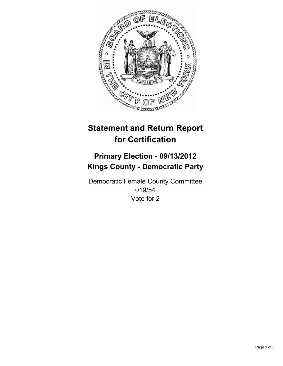

# **Statement and Return Report for Certification**

## **Primary Election - 09/13/2012 Kings County - Democratic Party**

Democratic Female County Committee 019/54 Vote for 2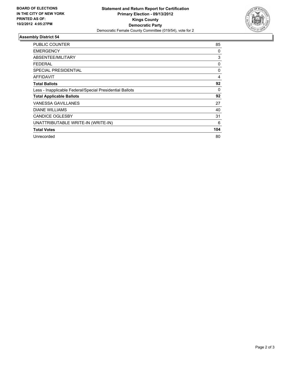

### **Assembly District 54**

| <b>PUBLIC COUNTER</b>                                    | 85       |
|----------------------------------------------------------|----------|
| <b>EMERGENCY</b>                                         | 0        |
| ABSENTEE/MILITARY                                        | 3        |
| FEDERAL                                                  | 0        |
| SPECIAL PRESIDENTIAL                                     | $\Omega$ |
| AFFIDAVIT                                                | 4        |
| <b>Total Ballots</b>                                     | 92       |
| Less - Inapplicable Federal/Special Presidential Ballots | 0        |
| <b>Total Applicable Ballots</b>                          | 92       |
| VANESSA GAVILLANES                                       | 27       |
| <b>DIANE WILLIAMS</b>                                    | 40       |
| <b>CANDICE OGLESBY</b>                                   | 31       |
| UNATTRIBUTABLE WRITE-IN (WRITE-IN)                       | 6        |
| <b>Total Votes</b>                                       | 104      |
| Unrecorded                                               | 80       |